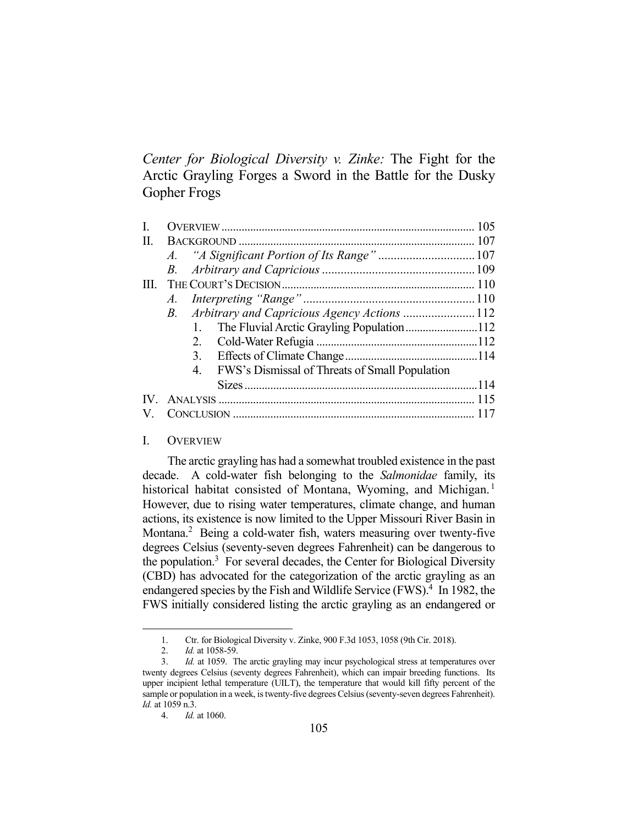*Center for Biological Diversity v. Zinke:* The Fight for the Arctic Grayling Forges a Sword in the Battle for the Dusky Gopher Frogs

| I.                |                                                      |  |
|-------------------|------------------------------------------------------|--|
| Π.                |                                                      |  |
|                   |                                                      |  |
|                   |                                                      |  |
| III.              |                                                      |  |
|                   |                                                      |  |
|                   | B. Arbitrary and Capricious Agency Actions 112       |  |
|                   | The Fluvial Arctic Grayling Population112<br>1.      |  |
|                   |                                                      |  |
|                   |                                                      |  |
|                   | FWS's Dismissal of Threats of Small Population<br>4. |  |
|                   |                                                      |  |
| $\mathbf{IV}_{-}$ |                                                      |  |
| V.                |                                                      |  |

# I. OVERVIEW

 The arctic grayling has had a somewhat troubled existence in the past decade. A cold-water fish belonging to the *Salmonidae* family, its historical habitat consisted of Montana, Wyoming, and Michigan.<sup>1</sup> However, due to rising water temperatures, climate change, and human actions, its existence is now limited to the Upper Missouri River Basin in Montana.<sup>2</sup> Being a cold-water fish, waters measuring over twenty-five degrees Celsius (seventy-seven degrees Fahrenheit) can be dangerous to the population.<sup>3</sup> For several decades, the Center for Biological Diversity (CBD) has advocated for the categorization of the arctic grayling as an endangered species by the Fish and Wildlife Service (FWS).<sup>4</sup> In 1982, the FWS initially considered listing the arctic grayling as an endangered or

 <sup>1.</sup> Ctr. for Biological Diversity v. Zinke, 900 F.3d 1053, 1058 (9th Cir. 2018).

 <sup>2.</sup> *Id.* at 1058-59.

 <sup>3.</sup> *Id.* at 1059. The arctic grayling may incur psychological stress at temperatures over twenty degrees Celsius (seventy degrees Fahrenheit), which can impair breeding functions. Its upper incipient lethal temperature (UILT), the temperature that would kill fifty percent of the sample or population in a week, is twenty-five degrees Celsius (seventy-seven degrees Fahrenheit). *Id.* at 1059 n.3.

 <sup>4.</sup> *Id.* at 1060.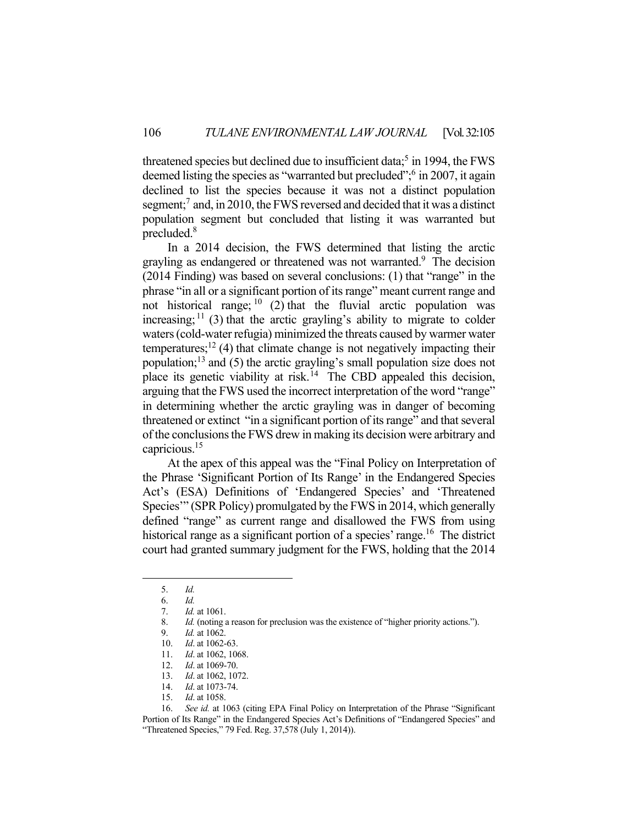threatened species but declined due to insufficient data;<sup>5</sup> in 1994, the FWS deemed listing the species as "warranted but precluded"; in 2007, it again declined to list the species because it was not a distinct population segment;<sup>7</sup> and, in 2010, the FWS reversed and decided that it was a distinct population segment but concluded that listing it was warranted but precluded.<sup>8</sup>

 In a 2014 decision, the FWS determined that listing the arctic grayling as endangered or threatened was not warranted.<sup>9</sup> The decision (2014 Finding) was based on several conclusions: (1) that "range" in the phrase "in all or a significant portion of its range" meant current range and not historical range;  $10(2)$  that the fluvial arctic population was increasing;  $\frac{11}{3}$  (3) that the arctic grayling's ability to migrate to colder waters (cold-water refugia) minimized the threats caused by warmer water temperatures;<sup>12</sup> (4) that climate change is not negatively impacting their population; $13$  and (5) the arctic grayling's small population size does not place its genetic viability at risk.<sup>14</sup> The CBD appealed this decision, arguing that the FWS used the incorrect interpretation of the word "range" in determining whether the arctic grayling was in danger of becoming threatened or extinct "in a significant portion of its range" and that several of the conclusions the FWS drew in making its decision were arbitrary and capricious.15

 At the apex of this appeal was the "Final Policy on Interpretation of the Phrase 'Significant Portion of Its Range' in the Endangered Species Act's (ESA) Definitions of 'Endangered Species' and 'Threatened Species'" (SPR Policy) promulgated by the FWS in 2014, which generally defined "range" as current range and disallowed the FWS from using historical range as a significant portion of a species' range.<sup>16</sup> The district court had granted summary judgment for the FWS, holding that the 2014

 <sup>5.</sup> *Id.*

 <sup>6.</sup> *Id.*

 <sup>7.</sup> *Id.* at 1061.

 <sup>8.</sup> *Id.* (noting a reason for preclusion was the existence of "higher priority actions.").

 <sup>9.</sup> *Id.* at 1062.

<sup>10.</sup> *Id.* at 1062-63.<br>11. *Id.* at 1062, 10

Id. at 1062, 1068.

 <sup>12.</sup> *Id*. at 1069-70.

 <sup>13.</sup> *Id*. at 1062, 1072.

 <sup>14.</sup> *Id*. at 1073-74.

 <sup>15.</sup> *Id*. at 1058.

 <sup>16.</sup> *See id.* at 1063 (citing EPA Final Policy on Interpretation of the Phrase "Significant Portion of Its Range" in the Endangered Species Act's Definitions of "Endangered Species" and "Threatened Species," 79 Fed. Reg. 37,578 (July 1, 2014)).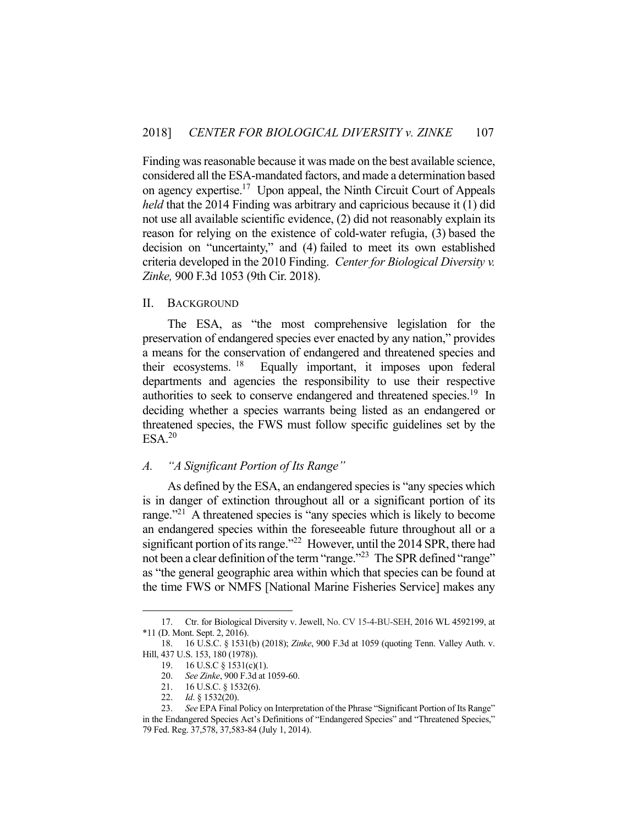Finding was reasonable because it was made on the best available science, considered all the ESA-mandated factors, and made a determination based on agency expertise.<sup>17</sup> Upon appeal, the Ninth Circuit Court of Appeals *held* that the 2014 Finding was arbitrary and capricious because it (1) did not use all available scientific evidence, (2) did not reasonably explain its reason for relying on the existence of cold-water refugia, (3) based the decision on "uncertainty," and (4) failed to meet its own established criteria developed in the 2010 Finding. *Center for Biological Diversity v. Zinke,* 900 F.3d 1053 (9th Cir. 2018).

#### II. BACKGROUND

 The ESA, as "the most comprehensive legislation for the preservation of endangered species ever enacted by any nation," provides a means for the conservation of endangered and threatened species and their ecosystems. 18 Equally important, it imposes upon federal departments and agencies the responsibility to use their respective authorities to seek to conserve endangered and threatened species.<sup>19</sup> In deciding whether a species warrants being listed as an endangered or threatened species, the FWS must follow specific guidelines set by the  $ESA.<sup>20</sup>$ 

# *A. "A Significant Portion of Its Range"*

 As defined by the ESA, an endangered species is "any species which is in danger of extinction throughout all or a significant portion of its range."<sup>21</sup> A threatened species is "any species which is likely to become an endangered species within the foreseeable future throughout all or a significant portion of its range."<sup>22</sup> However, until the 2014 SPR, there had not been a clear definition of the term "range."<sup>23</sup> The SPR defined "range" as "the general geographic area within which that species can be found at the time FWS or NMFS [National Marine Fisheries Service] makes any

 <sup>17.</sup> Ctr. for Biological Diversity v. Jewell, No. CV 15-4-BU-SEH, 2016 WL 4592199, at \*11 (D. Mont. Sept. 2, 2016).

 <sup>18. 16</sup> U.S.C. § 1531(b) (2018); *Zinke*, 900 F.3d at 1059 (quoting Tenn. Valley Auth. v. Hill, 437 U.S. 153, 180 (1978)).

 <sup>19. 16</sup> U.S.C § 1531(c)(1).

 <sup>20.</sup> *See Zinke*, 900 F.3d at 1059-60.

 <sup>21. 16</sup> U.S.C. § 1532(6).

 <sup>22.</sup> *Id*. § 1532(20).

 <sup>23.</sup> *See* EPA Final Policy on Interpretation of the Phrase "Significant Portion of Its Range" in the Endangered Species Act's Definitions of "Endangered Species" and "Threatened Species," 79 Fed. Reg. 37,578, 37,583-84 (July 1, 2014).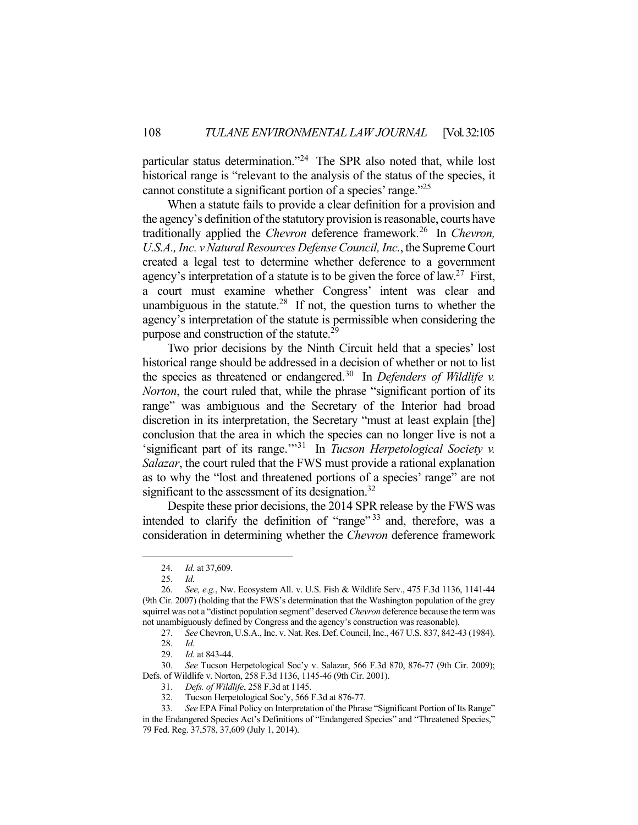particular status determination."24 The SPR also noted that, while lost historical range is "relevant to the analysis of the status of the species, it cannot constitute a significant portion of a species' range."25

 When a statute fails to provide a clear definition for a provision and the agency's definition of the statutory provision is reasonable, courts have traditionally applied the *Chevron* deference framework.<sup>26</sup> In *Chevron*, *U.S.A., Inc. v Natural Resources Defense Council, Inc.*, the Supreme Court created a legal test to determine whether deference to a government agency's interpretation of a statute is to be given the force of law.<sup>27</sup> First, a court must examine whether Congress' intent was clear and unambiguous in the statute.<sup>28</sup> If not, the question turns to whether the agency's interpretation of the statute is permissible when considering the purpose and construction of the statute.<sup>29</sup>

 Two prior decisions by the Ninth Circuit held that a species' lost historical range should be addressed in a decision of whether or not to list the species as threatened or endangered.<sup>30</sup> In *Defenders of Wildlife v. Norton*, the court ruled that, while the phrase "significant portion of its range" was ambiguous and the Secretary of the Interior had broad discretion in its interpretation, the Secretary "must at least explain [the] conclusion that the area in which the species can no longer live is not a 'significant part of its range.'"31 In *Tucson Herpetological Society v. Salazar*, the court ruled that the FWS must provide a rational explanation as to why the "lost and threatened portions of a species' range" are not significant to the assessment of its designation.<sup>32</sup>

 Despite these prior decisions, the 2014 SPR release by the FWS was intended to clarify the definition of "range"<sup>33</sup> and, therefore, was a consideration in determining whether the *Chevron* deference framework

 <sup>24.</sup> *Id.* at 37,609.

 <sup>25.</sup> *Id.* 

 <sup>26.</sup> *See, e.g.*, Nw. Ecosystem All. v. U.S. Fish & Wildlife Serv., 475 F.3d 1136, 1141-44 (9th Cir. 2007) (holding that the FWS's determination that the Washington population of the grey squirrel was not a "distinct population segment" deserved *Chevron* deference because the term was not unambiguously defined by Congress and the agency's construction was reasonable).

 <sup>27.</sup> *See* Chevron, U.S.A., Inc. v. Nat. Res. Def. Council, Inc., 467 U.S. 837, 842-43 (1984).

 <sup>28.</sup> *Id.*

 <sup>29.</sup> *Id.* at 843-44.

 <sup>30.</sup> *See* Tucson Herpetological Soc'y v. Salazar, 566 F.3d 870, 876-77 (9th Cir. 2009); Defs. of Wildlife v. Norton, 258 F.3d 1136, 1145-46 (9th Cir. 2001).

 <sup>31.</sup> *Defs. of Wildlife*, 258 F.3d at 1145.

 <sup>32.</sup> Tucson Herpetological Soc'y, 566 F.3d at 876-77.

 <sup>33.</sup> *See* EPA Final Policy on Interpretation of the Phrase "Significant Portion of Its Range" in the Endangered Species Act's Definitions of "Endangered Species" and "Threatened Species," 79 Fed. Reg. 37,578, 37,609 (July 1, 2014).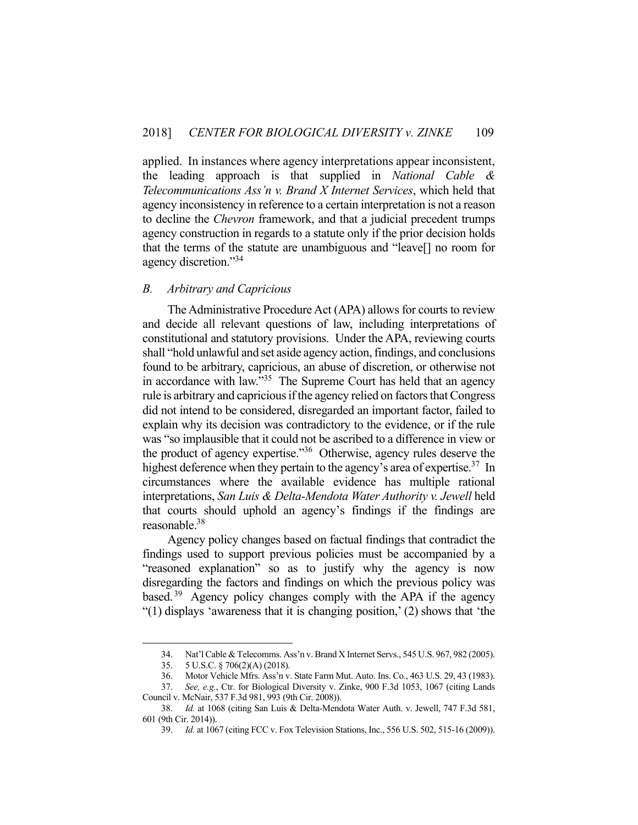applied. In instances where agency interpretations appear inconsistent, the leading approach is that supplied in *National Cable & Telecommunications Ass'n v. Brand X Internet Services*, which held that agency inconsistency in reference to a certain interpretation is not a reason to decline the *Chevron* framework, and that a judicial precedent trumps agency construction in regards to a statute only if the prior decision holds that the terms of the statute are unambiguous and "leave[] no room for agency discretion."34

### *B. Arbitrary and Capricious*

 The Administrative Procedure Act (APA) allows for courts to review and decide all relevant questions of law, including interpretations of constitutional and statutory provisions. Under the APA, reviewing courts shall "hold unlawful and set aside agency action, findings, and conclusions found to be arbitrary, capricious, an abuse of discretion, or otherwise not in accordance with law."<sup>35</sup> The Supreme Court has held that an agency rule is arbitrary and capricious if the agency relied on factors that Congress did not intend to be considered, disregarded an important factor, failed to explain why its decision was contradictory to the evidence, or if the rule was "so implausible that it could not be ascribed to a difference in view or the product of agency expertise."<sup>36</sup> Otherwise, agency rules deserve the highest deference when they pertain to the agency's area of expertise.<sup>37</sup> In circumstances where the available evidence has multiple rational interpretations, *San Luis & Delta-Mendota Water Authority v. Jewell* held that courts should uphold an agency's findings if the findings are reasonable.38

 Agency policy changes based on factual findings that contradict the findings used to support previous policies must be accompanied by a "reasoned explanation" so as to justify why the agency is now disregarding the factors and findings on which the previous policy was based.<sup>39</sup> Agency policy changes comply with the APA if the agency "(1) displays 'awareness that it is changing position,' (2) shows that 'the

 <sup>34.</sup> Nat'l Cable & Telecomms. Ass'n v. Brand X Internet Servs., 545 U.S. 967, 982 (2005).

 <sup>35. 5</sup> U.S.C. § 706(2)(A) (2018).

 <sup>36.</sup> Motor Vehicle Mfrs. Ass'n v. State Farm Mut. Auto. Ins. Co., 463 U.S. 29, 43 (1983).

 <sup>37.</sup> *See, e.g.*, Ctr. for Biological Diversity v. Zinke, 900 F.3d 1053, 1067 (citing Lands Council v. McNair, 537 F.3d 981, 993 (9th Cir. 2008)).

 <sup>38.</sup> *Id.* at 1068 (citing San Luis & Delta-Mendota Water Auth. v. Jewell, 747 F.3d 581, 601 (9th Cir. 2014)).

 <sup>39.</sup> *Id.* at 1067 (citing FCC v. Fox Television Stations, Inc., 556 U.S. 502, 515-16 (2009)).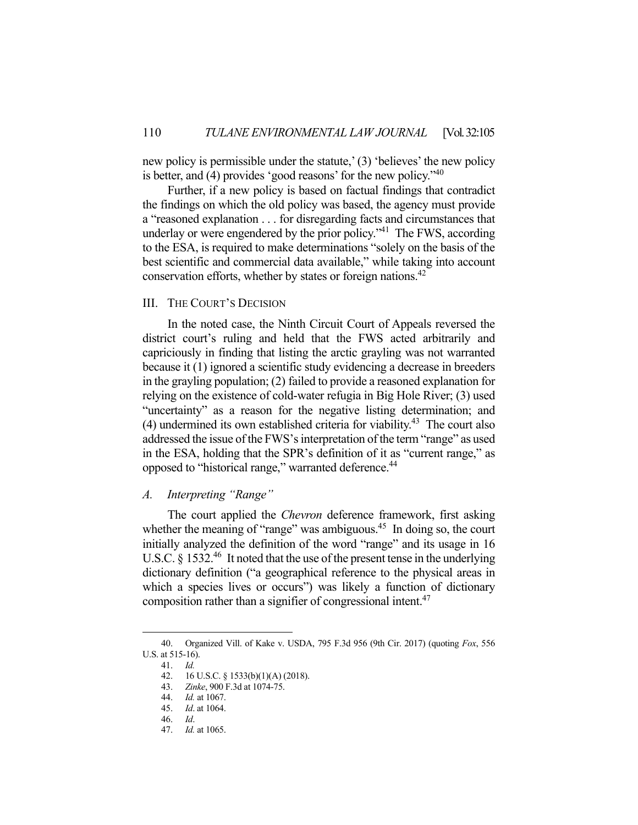new policy is permissible under the statute,' (3) 'believes' the new policy is better, and (4) provides 'good reasons' for the new policy."<sup>40</sup>

 Further, if a new policy is based on factual findings that contradict the findings on which the old policy was based, the agency must provide a "reasoned explanation . . . for disregarding facts and circumstances that underlay or were engendered by the prior policy.<sup> $1$ </sup> The FWS, according to the ESA, is required to make determinations "solely on the basis of the best scientific and commercial data available," while taking into account conservation efforts, whether by states or foreign nations.<sup>42</sup>

### III. THE COURT'S DECISION

 In the noted case, the Ninth Circuit Court of Appeals reversed the district court's ruling and held that the FWS acted arbitrarily and capriciously in finding that listing the arctic grayling was not warranted because it (1) ignored a scientific study evidencing a decrease in breeders in the grayling population; (2) failed to provide a reasoned explanation for relying on the existence of cold-water refugia in Big Hole River; (3) used "uncertainty" as a reason for the negative listing determination; and (4) undermined its own established criteria for viability.<sup>43</sup> The court also addressed the issue of the FWS's interpretation of the term "range" as used in the ESA, holding that the SPR's definition of it as "current range," as opposed to "historical range," warranted deference.<sup>44</sup>

# *A. Interpreting "Range"*

 The court applied the *Chevron* deference framework, first asking whether the meaning of "range" was ambiguous.<sup>45</sup> In doing so, the court initially analyzed the definition of the word "range" and its usage in 16 U.S.C. § 1532.<sup>46</sup> It noted that the use of the present tense in the underlying dictionary definition ("a geographical reference to the physical areas in which a species lives or occurs") was likely a function of dictionary composition rather than a signifier of congressional intent.<sup>47</sup>

 <sup>40.</sup> Organized Vill. of Kake v. USDA, 795 F.3d 956 (9th Cir. 2017) (quoting *Fox*, 556 U.S. at 515-16).

 <sup>41.</sup> *Id.*

 <sup>42. 16</sup> U.S.C. § 1533(b)(1)(A) (2018).

 <sup>43.</sup> *Zinke*, 900 F.3d at 1074-75.

 <sup>44.</sup> *Id.* at 1067.

<sup>45.</sup> *Id*. at 1064.

 <sup>46.</sup> *Id*.

 <sup>47.</sup> *Id.* at 1065.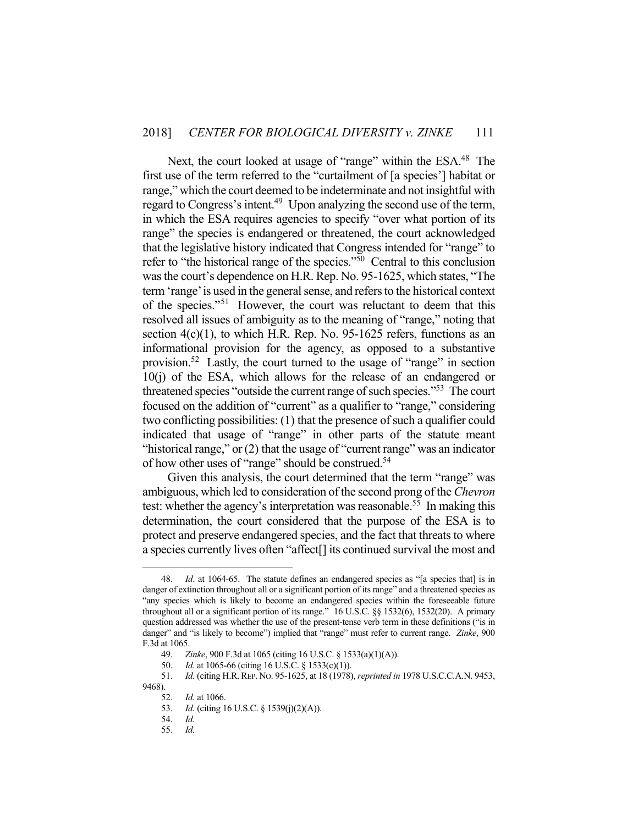Next, the court looked at usage of "range" within the ESA.<sup>48</sup> The first use of the term referred to the "curtailment of [a species'] habitat or range," which the court deemed to be indeterminate and not insightful with regard to Congress's intent.<sup>49</sup> Upon analyzing the second use of the term, in which the ESA requires agencies to specify "over what portion of its range" the species is endangered or threatened, the court acknowledged that the legislative history indicated that Congress intended for "range" to refer to "the historical range of the species."50 Central to this conclusion was the court's dependence on H.R. Rep. No. 95-1625, which states, "The term 'range' is used in the general sense, and refers to the historical context of the species."51 However, the court was reluctant to deem that this resolved all issues of ambiguity as to the meaning of "range," noting that section  $4(c)(1)$ , to which H.R. Rep. No. 95-1625 refers, functions as an informational provision for the agency, as opposed to a substantive provision.52 Lastly, the court turned to the usage of "range" in section 10(j) of the ESA, which allows for the release of an endangered or threatened species "outside the current range of such species."53 The court focused on the addition of "current" as a qualifier to "range," considering two conflicting possibilities: (1) that the presence of such a qualifier could indicated that usage of "range" in other parts of the statute meant "historical range," or (2) that the usage of "current range" was an indicator of how other uses of "range" should be construed.<sup>54</sup>

 Given this analysis, the court determined that the term "range" was ambiguous, which led to consideration of the second prong of the *Chevron*  test: whether the agency's interpretation was reasonable.<sup>55</sup> In making this determination, the court considered that the purpose of the ESA is to protect and preserve endangered species, and the fact that threats to where a species currently lives often "affect[] its continued survival the most and

 <sup>48.</sup> *Id*. at 1064-65. The statute defines an endangered species as "[a species that] is in danger of extinction throughout all or a significant portion of its range" and a threatened species as "any species which is likely to become an endangered species within the foreseeable future throughout all or a significant portion of its range." 16 U.S.C. §§ 1532(6), 1532(20). A primary question addressed was whether the use of the present-tense verb term in these definitions ("is in danger" and "is likely to become") implied that "range" must refer to current range. *Zinke*, 900 F.3d at 1065.

 <sup>49.</sup> *Zinke*, 900 F.3d at 1065 (citing 16 U.S.C. § 1533(a)(1)(A)).

 <sup>50.</sup> *Id.* at 1065-66 (citing 16 U.S.C. § 1533(c)(1)).

 <sup>51.</sup> *Id.* (citing H.R.REP. NO. 95-1625, at 18 (1978), *reprinted in* 1978 U.S.C.C.A.N. 9453, 9468).

 <sup>52.</sup> *Id.* at 1066.

 <sup>53.</sup> *Id.* (citing 16 U.S.C. § 1539(j)(2)(A)).

 <sup>54.</sup> *Id.* 

 <sup>55.</sup> *Id.*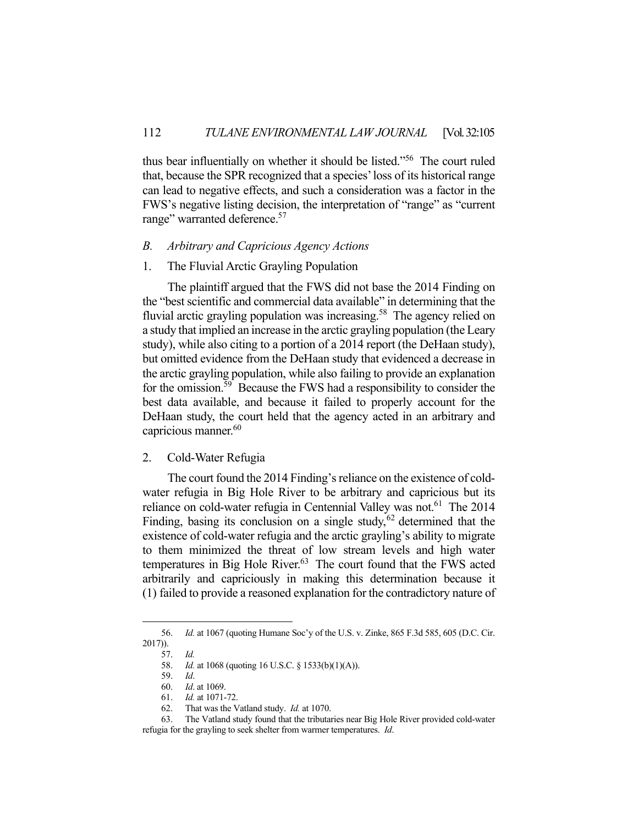thus bear influentially on whether it should be listed."56 The court ruled that, because the SPR recognized that a species' loss of its historical range can lead to negative effects, and such a consideration was a factor in the FWS's negative listing decision, the interpretation of "range" as "current range" warranted deference.<sup>57</sup>

# *B. Arbitrary and Capricious Agency Actions*

### 1. The Fluvial Arctic Grayling Population

 The plaintiff argued that the FWS did not base the 2014 Finding on the "best scientific and commercial data available" in determining that the fluvial arctic grayling population was increasing.<sup>58</sup> The agency relied on a study that implied an increase in the arctic grayling population (the Leary study), while also citing to a portion of a 2014 report (the DeHaan study), but omitted evidence from the DeHaan study that evidenced a decrease in the arctic grayling population, while also failing to provide an explanation for the omission.<sup>59</sup> Because the FWS had a responsibility to consider the best data available, and because it failed to properly account for the DeHaan study, the court held that the agency acted in an arbitrary and capricious manner.<sup>60</sup>

### 2. Cold-Water Refugia

 The court found the 2014 Finding's reliance on the existence of coldwater refugia in Big Hole River to be arbitrary and capricious but its reliance on cold-water refugia in Centennial Valley was not.<sup>61</sup> The 2014 Finding, basing its conclusion on a single study,  $62$  determined that the existence of cold-water refugia and the arctic grayling's ability to migrate to them minimized the threat of low stream levels and high water temperatures in Big Hole River. $63$  The court found that the FWS acted arbitrarily and capriciously in making this determination because it (1) failed to provide a reasoned explanation for the contradictory nature of

 <sup>56.</sup> *Id.* at 1067 (quoting Humane Soc'y of the U.S. v. Zinke, 865 F.3d 585, 605 (D.C. Cir. 2017)).

 <sup>57.</sup> *Id.*

 <sup>58.</sup> *Id.* at 1068 (quoting 16 U.S.C. § 1533(b)(1)(A)).

 <sup>59.</sup> *Id*.

 <sup>60.</sup> *Id*. at 1069.

 <sup>61.</sup> *Id.* at 1071-72.

 <sup>62.</sup> That was the Vatland study. *Id.* at 1070.

 <sup>63.</sup> The Vatland study found that the tributaries near Big Hole River provided cold-water refugia for the grayling to seek shelter from warmer temperatures. *Id*.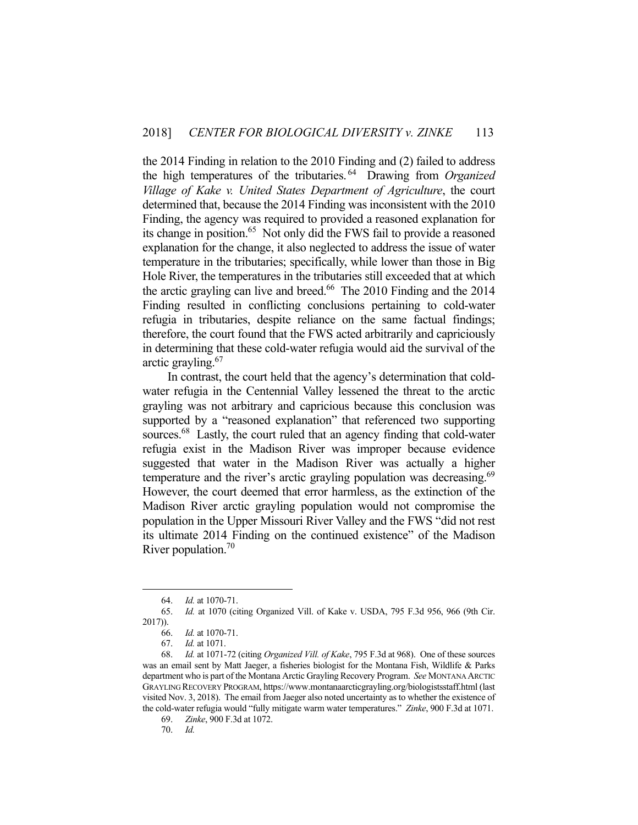the 2014 Finding in relation to the 2010 Finding and (2) failed to address the high temperatures of the tributaries. 64 Drawing from *Organized Village of Kake v. United States Department of Agriculture*, the court determined that, because the 2014 Finding was inconsistent with the 2010 Finding, the agency was required to provided a reasoned explanation for its change in position.<sup>65</sup> Not only did the FWS fail to provide a reasoned explanation for the change, it also neglected to address the issue of water temperature in the tributaries; specifically, while lower than those in Big Hole River, the temperatures in the tributaries still exceeded that at which the arctic grayling can live and breed.<sup>66</sup> The 2010 Finding and the  $2014$ Finding resulted in conflicting conclusions pertaining to cold-water refugia in tributaries, despite reliance on the same factual findings; therefore, the court found that the FWS acted arbitrarily and capriciously in determining that these cold-water refugia would aid the survival of the arctic grayling.67

 In contrast, the court held that the agency's determination that coldwater refugia in the Centennial Valley lessened the threat to the arctic grayling was not arbitrary and capricious because this conclusion was supported by a "reasoned explanation" that referenced two supporting sources.<sup>68</sup> Lastly, the court ruled that an agency finding that cold-water refugia exist in the Madison River was improper because evidence suggested that water in the Madison River was actually a higher temperature and the river's arctic grayling population was decreasing.<sup>69</sup> However, the court deemed that error harmless, as the extinction of the Madison River arctic grayling population would not compromise the population in the Upper Missouri River Valley and the FWS "did not rest its ultimate 2014 Finding on the continued existence" of the Madison River population. $70$ 

 <sup>64.</sup> *Id.* at 1070-71.

 <sup>65.</sup> *Id.* at 1070 (citing Organized Vill. of Kake v. USDA, 795 F.3d 956, 966 (9th Cir. 2017)).

 <sup>66.</sup> *Id.* at 1070-71.

 <sup>67.</sup> *Id.* at 1071.

 <sup>68.</sup> *Id.* at 1071-72 (citing *Organized Vill. of Kake*, 795 F.3d at 968). One of these sources was an email sent by Matt Jaeger, a fisheries biologist for the Montana Fish, Wildlife & Parks department who is part of the Montana Arctic Grayling Recovery Program. *See* MONTANA ARCTIC GRAYLING RECOVERY PROGRAM, https://www.montanaarcticgrayling.org/biologistsstaff.html (last visited Nov. 3, 2018). The email from Jaeger also noted uncertainty as to whether the existence of the cold-water refugia would "fully mitigate warm water temperatures." *Zinke*, 900 F.3d at 1071.

 <sup>69.</sup> *Zinke*, 900 F.3d at 1072.

 <sup>70.</sup> *Id.*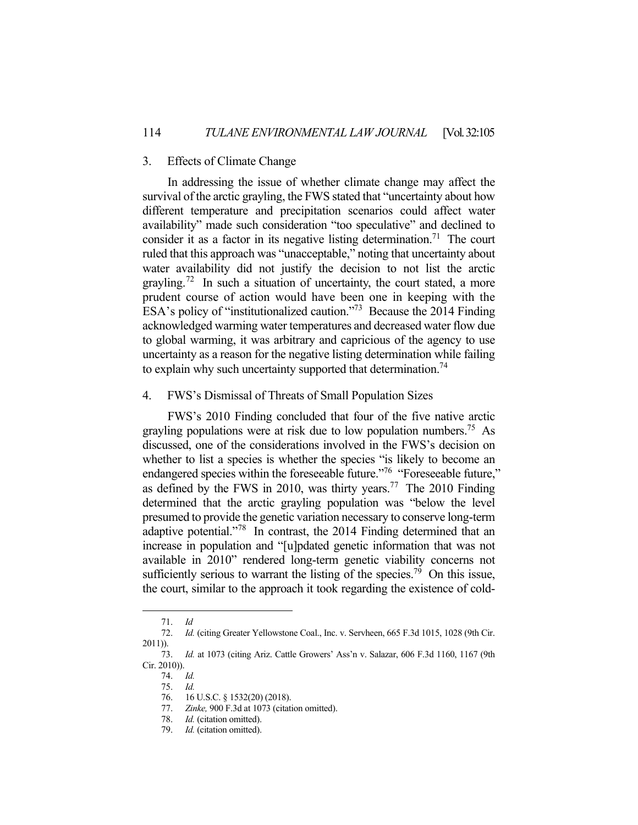### 3. Effects of Climate Change

 In addressing the issue of whether climate change may affect the survival of the arctic grayling, the FWS stated that "uncertainty about how different temperature and precipitation scenarios could affect water availability" made such consideration "too speculative" and declined to consider it as a factor in its negative listing determination.<sup>71</sup> The court ruled that this approach was "unacceptable," noting that uncertainty about water availability did not justify the decision to not list the arctic grayling.<sup>72</sup> In such a situation of uncertainty, the court stated, a more prudent course of action would have been one in keeping with the ESA's policy of "institutionalized caution."73 Because the 2014 Finding acknowledged warming water temperatures and decreased water flow due to global warming, it was arbitrary and capricious of the agency to use uncertainty as a reason for the negative listing determination while failing to explain why such uncertainty supported that determination.<sup>74</sup>

#### 4. FWS's Dismissal of Threats of Small Population Sizes

 FWS's 2010 Finding concluded that four of the five native arctic grayling populations were at risk due to low population numbers.<sup>75</sup> As discussed, one of the considerations involved in the FWS's decision on whether to list a species is whether the species "is likely to become an endangered species within the foreseeable future."<sup>76</sup> "Foreseeable future," as defined by the FWS in 2010, was thirty years.<sup>77</sup> The 2010 Finding determined that the arctic grayling population was "below the level presumed to provide the genetic variation necessary to conserve long-term adaptive potential."78 In contrast, the 2014 Finding determined that an increase in population and "[u]pdated genetic information that was not available in 2010" rendered long-term genetic viability concerns not sufficiently serious to warrant the listing of the species.<sup>79</sup> On this issue, the court, similar to the approach it took regarding the existence of cold-

 <sup>71.</sup> *Id* 

<sup>72.</sup> *Id.* (citing Greater Yellowstone Coal., Inc. v. Servheen, 665 F.3d 1015, 1028 (9th Cir. 2011)).

 <sup>73.</sup> *Id.* at 1073 (citing Ariz. Cattle Growers' Ass'n v. Salazar, 606 F.3d 1160, 1167 (9th Cir. 2010)).

 <sup>74.</sup> *Id.*

 <sup>75.</sup> *Id.* 

<sup>76. 16</sup> U.S.C. § 1532(20) (2018).<br>77. Zinke, 900 F.3d at 1073 (citati

Zinke, 900 F.3d at 1073 (citation omitted).

 <sup>78.</sup> *Id.* (citation omitted).

 <sup>79.</sup> *Id.* (citation omitted).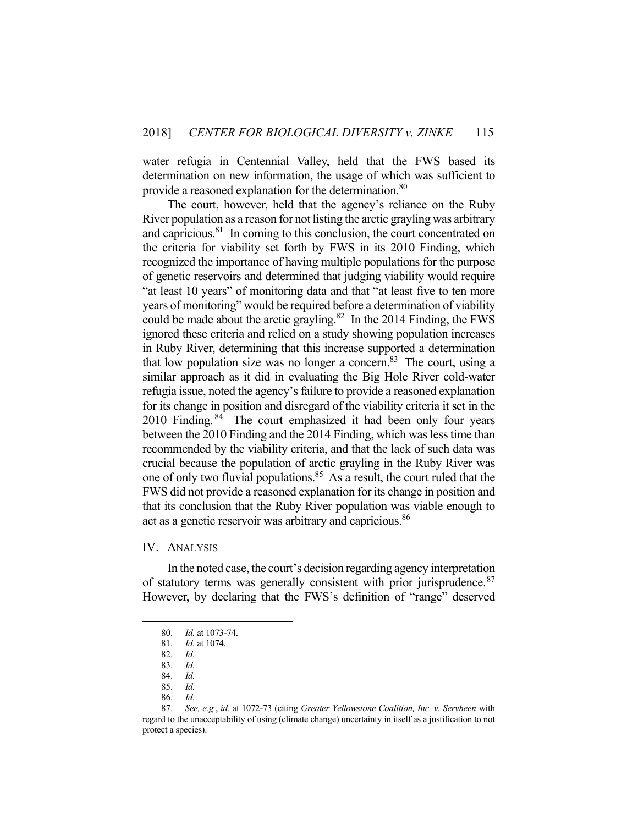water refugia in Centennial Valley, held that the FWS based its determination on new information, the usage of which was sufficient to provide a reasoned explanation for the determination.<sup>80</sup>

 The court, however, held that the agency's reliance on the Ruby River population as a reason for not listing the arctic grayling was arbitrary and capricious.<sup>81</sup> In coming to this conclusion, the court concentrated on the criteria for viability set forth by FWS in its 2010 Finding, which recognized the importance of having multiple populations for the purpose of genetic reservoirs and determined that judging viability would require "at least 10 years" of monitoring data and that "at least five to ten more years of monitoring" would be required before a determination of viability could be made about the arctic grayling.<sup>82</sup> In the 2014 Finding, the FWS ignored these criteria and relied on a study showing population increases in Ruby River, determining that this increase supported a determination that low population size was no longer a concern.<sup>83</sup> The court, using a similar approach as it did in evaluating the Big Hole River cold-water refugia issue, noted the agency's failure to provide a reasoned explanation for its change in position and disregard of the viability criteria it set in the 2010 Finding. <sup>84</sup> The court emphasized it had been only four years between the 2010 Finding and the 2014 Finding, which was less time than recommended by the viability criteria, and that the lack of such data was crucial because the population of arctic grayling in the Ruby River was one of only two fluvial populations.<sup>85</sup> As a result, the court ruled that the FWS did not provide a reasoned explanation for its change in position and that its conclusion that the Ruby River population was viable enough to act as a genetic reservoir was arbitrary and capricious.<sup>86</sup>

#### IV. ANALYSIS

 In the noted case, the court's decision regarding agency interpretation of statutory terms was generally consistent with prior jurisprudence.<sup>87</sup> However, by declaring that the FWS's definition of "range" deserved

 <sup>80.</sup> *Id.* at 1073-74.

 <sup>81.</sup> *Id.* at 1074.

 <sup>82.</sup> *Id.* 

 <sup>83.</sup> *Id.*

 <sup>84.</sup> *Id.*

 <sup>85.</sup> *Id.*

 <sup>86.</sup> *Id.* 

 <sup>87.</sup> *See, e.g.*, *id.* at 1072-73 (citing *Greater Yellowstone Coalition, Inc. v. Servheen* with regard to the unacceptability of using (climate change) uncertainty in itself as a justification to not protect a species).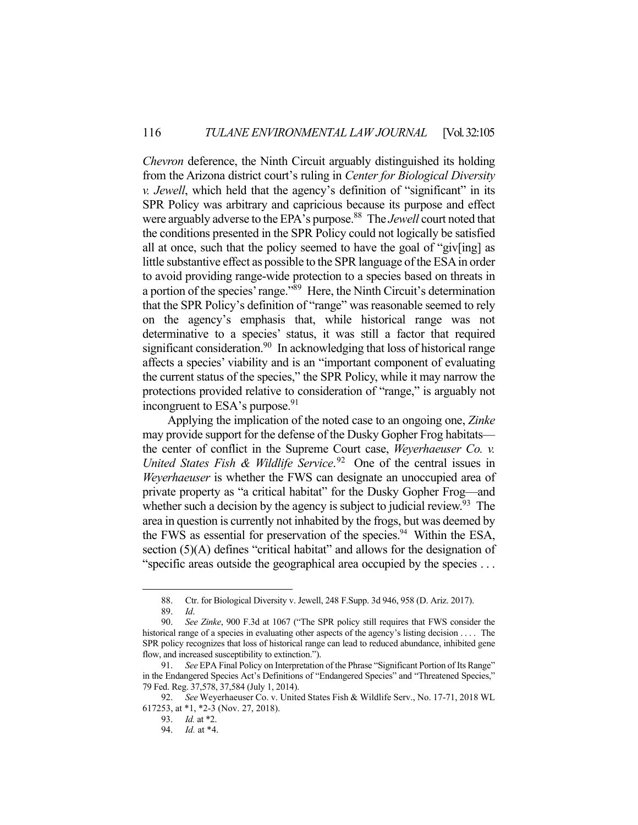*Chevron* deference, the Ninth Circuit arguably distinguished its holding from the Arizona district court's ruling in *Center for Biological Diversity v. Jewell*, which held that the agency's definition of "significant" in its SPR Policy was arbitrary and capricious because its purpose and effect were arguably adverse to the EPA's purpose.<sup>88</sup> The *Jewell* court noted that the conditions presented in the SPR Policy could not logically be satisfied all at once, such that the policy seemed to have the goal of "giv[ing] as little substantive effect as possible to the SPR language of the ESA in order to avoid providing range-wide protection to a species based on threats in a portion of the species' range."89 Here, the Ninth Circuit's determination that the SPR Policy's definition of "range" was reasonable seemed to rely on the agency's emphasis that, while historical range was not determinative to a species' status, it was still a factor that required significant consideration.<sup>90</sup> In acknowledging that loss of historical range affects a species' viability and is an "important component of evaluating the current status of the species," the SPR Policy, while it may narrow the protections provided relative to consideration of "range," is arguably not incongruent to ESA's purpose.<sup>91</sup>

 Applying the implication of the noted case to an ongoing one, *Zinke* may provide support for the defense of the Dusky Gopher Frog habitats the center of conflict in the Supreme Court case, *Weyerhaeuser Co. v. United States Fish & Wildlife Service*. 92 One of the central issues in *Weyerhaeuser* is whether the FWS can designate an unoccupied area of private property as "a critical habitat" for the Dusky Gopher Frog—and whether such a decision by the agency is subject to judicial review.<sup>93</sup> The area in question is currently not inhabited by the frogs, but was deemed by the FWS as essential for preservation of the species. $94$  Within the ESA, section (5)(A) defines "critical habitat" and allows for the designation of "specific areas outside the geographical area occupied by the species . . .

 <sup>88.</sup> Ctr. for Biological Diversity v. Jewell, 248 F.Supp. 3d 946, 958 (D. Ariz. 2017). 89. *Id*.

 <sup>90.</sup> *See Zinke*, 900 F.3d at 1067 ("The SPR policy still requires that FWS consider the

historical range of a species in evaluating other aspects of the agency's listing decision .... The SPR policy recognizes that loss of historical range can lead to reduced abundance, inhibited gene flow, and increased susceptibility to extinction.").

 <sup>91.</sup> *See* EPA Final Policy on Interpretation of the Phrase "Significant Portion of Its Range" in the Endangered Species Act's Definitions of "Endangered Species" and "Threatened Species," 79 Fed. Reg. 37,578, 37,584 (July 1, 2014).

 <sup>92.</sup> *See* Weyerhaeuser Co. v. United States Fish & Wildlife Serv., No. 17-71, 2018 WL 617253, at \*1, \*2-3 (Nov. 27, 2018).

 <sup>93.</sup> *Id.* at \*2.

 <sup>94.</sup> *Id.* at \*4.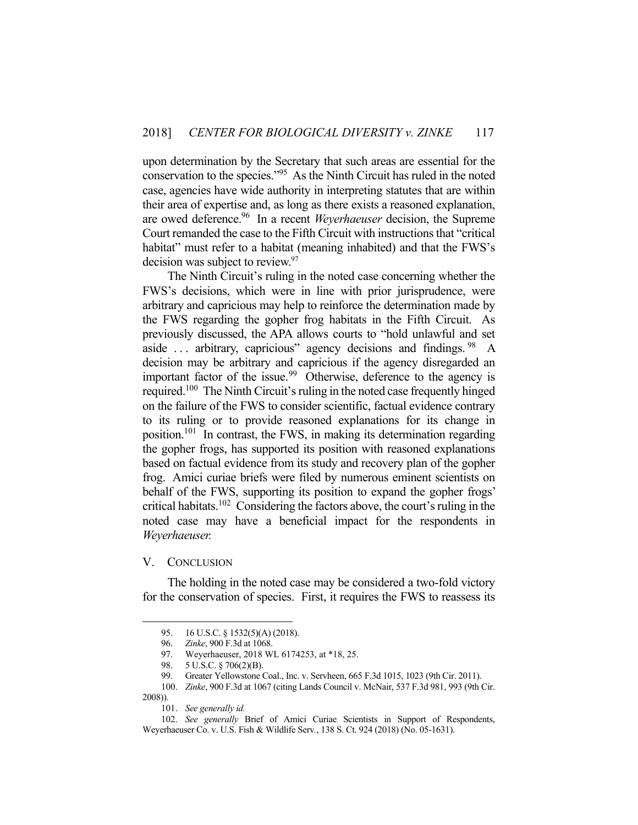upon determination by the Secretary that such areas are essential for the conservation to the species."95 As the Ninth Circuit has ruled in the noted case, agencies have wide authority in interpreting statutes that are within their area of expertise and, as long as there exists a reasoned explanation, are owed deference.96 In a recent *Weyerhaeuser* decision, the Supreme Court remanded the case to the Fifth Circuit with instructions that "critical habitat" must refer to a habitat (meaning inhabited) and that the FWS's decision was subject to review.<sup>97</sup>

 The Ninth Circuit's ruling in the noted case concerning whether the FWS's decisions, which were in line with prior jurisprudence, were arbitrary and capricious may help to reinforce the determination made by the FWS regarding the gopher frog habitats in the Fifth Circuit. As previously discussed, the APA allows courts to "hold unlawful and set aside  $\ldots$  arbitrary, capricious" agency decisions and findings. <sup>98</sup> A decision may be arbitrary and capricious if the agency disregarded an important factor of the issue.<sup>99</sup> Otherwise, deference to the agency is required.100 The Ninth Circuit's ruling in the noted case frequently hinged on the failure of the FWS to consider scientific, factual evidence contrary to its ruling or to provide reasoned explanations for its change in position.<sup>101</sup> In contrast, the FWS, in making its determination regarding the gopher frogs, has supported its position with reasoned explanations based on factual evidence from its study and recovery plan of the gopher frog. Amici curiae briefs were filed by numerous eminent scientists on behalf of the FWS, supporting its position to expand the gopher frogs' critical habitats.102 Considering the factors above, the court's ruling in the noted case may have a beneficial impact for the respondents in *Weyerhaeuser.*

#### V. CONCLUSION

1

 The holding in the noted case may be considered a two-fold victory for the conservation of species. First, it requires the FWS to reassess its

 <sup>95. 16</sup> U.S.C. § 1532(5)(A) (2018).

 <sup>96.</sup> *Zinke*, 900 F.3d at 1068.

 <sup>97.</sup> Weyerhaeuser, 2018 WL 6174253, at \*18, 25.

 <sup>98. 5</sup> U.S.C. § 706(2)(B).

 <sup>99.</sup> Greater Yellowstone Coal., Inc. v. Servheen, 665 F.3d 1015, 1023 (9th Cir. 2011).

 <sup>100.</sup> *Zinke*, 900 F.3d at 1067 (citing Lands Council v. McNair, 537 F.3d 981, 993 (9th Cir. 2008)).

 <sup>101.</sup> *See generally id.*

 <sup>102.</sup> *See generally* Brief of Amici Curiae Scientists in Support of Respondents, Weyerhaeuser Co. v. U.S. Fish & Wildlife Serv*.*, 138 S. Ct. 924 (2018) (No. 05-1631).